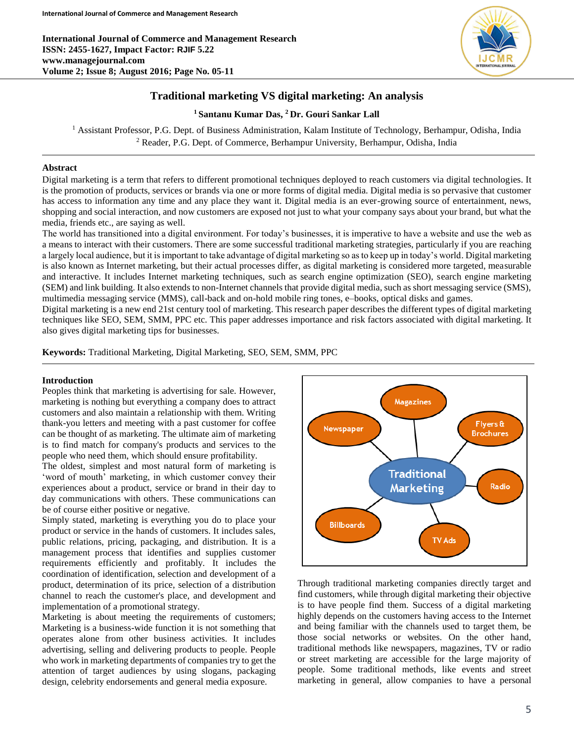**International Journal of Commerce and Management Research ISSN: 2455-1627, Impact Factor: RJIF 5.22 www.managejournal.com Volume 2; Issue 8; August 2016; Page No. 05-11**



# **Traditional marketing VS digital marketing: An analysis**

**<sup>1</sup>Santanu Kumar Das, <sup>2</sup>Dr. Gouri Sankar Lall**

<sup>1</sup> Assistant Professor, P.G. Dept. of Business Administration, Kalam Institute of Technology, Berhampur, Odisha, India <sup>2</sup> Reader, P.G. Dept. of Commerce, Berhampur University, Berhampur, Odisha, India

## **Abstract**

Digital marketing is a term that refers to different promotional techniques deployed to reach customers via digital technologies. It is the promotion of products, services or brands via one or more forms of digital media. Digital media is so pervasive that customer has access to information any time and any place they want it. Digital media is an ever-growing source of entertainment, news, shopping and social interaction, and now customers are exposed not just to what your company says about your brand, but what the media, friends etc., are saying as well.

The world has transitioned into a digital environment. For today's businesses, it is imperative to have a website and use the web as a means to interact with their customers. There are some successful traditional marketing strategies, particularly if you are reaching a largely local audience, but it is important to take advantage of digital marketing so as to keep up in today's world. Digital marketing is also known as Internet marketing, but their actual processes differ, as digital marketing is considered more targeted, measurable and interactive. It includes Internet marketing techniques, such as search engine optimization (SEO), search engine marketing (SEM) and link building. It also extends to non-Internet channels that provide digital media, such as short messaging service (SMS), multimedia messaging service (MMS), call-back and on-hold mobile ring tones, e–books, optical disks and games.

Digital marketing is a new end 21st century tool of marketing. This research paper describes the different types of digital marketing techniques like SEO, SEM, SMM, PPC etc. This paper addresses importance and risk factors associated with digital marketing. It also gives digital marketing tips for businesses.

**Keywords:** Traditional Marketing, Digital Marketing, SEO, SEM, SMM, PPC

### **Introduction**

Peoples think that marketing is advertising for sale. However, marketing is nothing but everything a company does to attract customers and also maintain a relationship with them. Writing thank-you letters and meeting with a past customer for coffee can be thought of as marketing. The ultimate aim of marketing is to find match for company's products and services to the people who need them, which should ensure profitability.

The oldest, simplest and most natural form of marketing is 'word of mouth' marketing, in which customer convey their experiences about a product, service or brand in their day to day communications with others. These communications can be of course either positive or negative.

Simply stated, marketing is everything you do to place your product or service in the hands of customers. It includes sales, public relations, pricing, packaging, and distribution. It is a management process that identifies and supplies customer requirements efficiently and profitably. It includes the coordination of identification, selection and development of a product, determination of its price, selection of a distribution channel to reach the customer's place, and development and implementation of a promotional strategy.

Marketing is about meeting the requirements of customers; Marketing is a business-wide function it is not something that operates alone from other business activities. It includes advertising, selling and delivering products to people. People who work in marketing departments of companies try to get the attention of target audiences by using slogans, packaging design, celebrity endorsements and general media exposure.



Through traditional marketing companies directly target and find customers, while through digital marketing their objective is to have people find them. Success of a digital marketing highly depends on the customers having access to the Internet and being familiar with the channels used to target them, be those social networks or websites. On the other hand, traditional methods like newspapers, magazines, TV or radio or street marketing are accessible for the large majority of people. Some traditional methods, like events and street marketing in general, allow companies to have a personal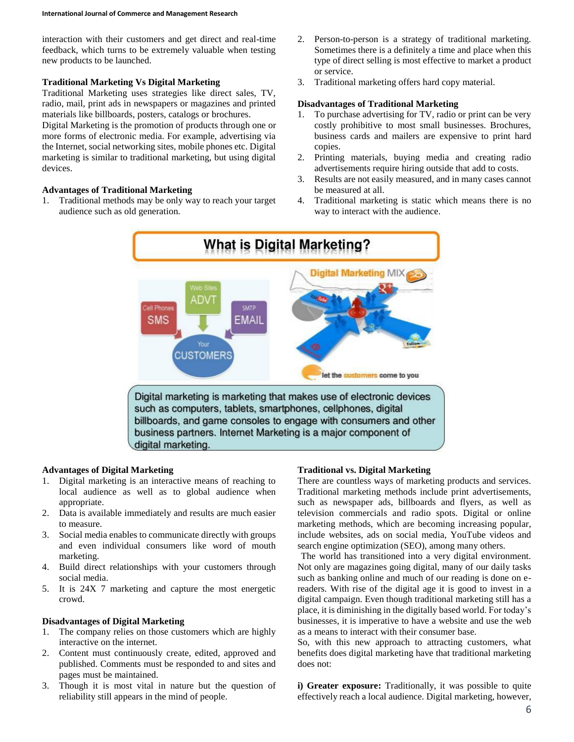interaction with their customers and get direct and real-time feedback, which turns to be extremely valuable when testing new products to be launched.

### **Traditional Marketing Vs Digital Marketing**

Traditional Marketing uses strategies like direct sales, TV, radio, mail, print ads in newspapers or magazines and printed materials like billboards, posters, catalogs or brochures.

Digital Marketing is the promotion of products through one or more forms of electronic media. For example, advertising via the Internet, social networking sites, mobile phones etc. Digital marketing is similar to traditional marketing, but using digital devices.

#### **Advantages of Traditional Marketing**

1. Traditional methods may be only way to reach your target audience such as old generation.

- 2. Person-to-person is a strategy of traditional marketing. Sometimes there is a definitely a time and place when this type of direct selling is most effective to market a product or service.
- 3. Traditional marketing offers hard copy material.

#### **Disadvantages of Traditional Marketing**

- 1. To purchase advertising for TV, radio or print can be very costly prohibitive to most small businesses. Brochures, business cards and mailers are expensive to print hard copies.
- 2. Printing materials, buying media and creating radio advertisements require hiring outside that add to costs.
- 3. Results are not easily measured, and in many cases cannot be measured at all.
- 4. Traditional marketing is static which means there is no way to interact with the audience.



#### **Advantages of Digital Marketing**

- 1. Digital marketing is an interactive means of reaching to local audience as well as to global audience when appropriate.
- 2. Data is available immediately and results are much easier to measure.
- 3. Social media enables to communicate directly with groups and even individual consumers like word of mouth marketing.
- 4. Build direct relationships with your customers through social media.
- 5. It is 24X 7 marketing and capture the most energetic crowd.

#### **Disadvantages of Digital Marketing**

- 1. The company relies on those customers which are highly interactive on the internet.
- 2. Content must continuously create, edited, approved and published. Comments must be responded to and sites and pages must be maintained.
- 3. Though it is most vital in nature but the question of reliability still appears in the mind of people.

### **Traditional vs. Digital Marketing**

There are countless ways of marketing products and services. Traditional marketing methods include print advertisements, such as newspaper ads, billboards and flyers, as well as television commercials and radio spots. Digital or online marketing methods, which are becoming increasing popular, include websites, ads on social media, YouTube videos and search engine optimization (SEO), among many others.

The world has transitioned into a very digital environment. Not only are magazines going digital, many of our daily tasks such as banking online and much of our reading is done on ereaders. With rise of the digital age it is good to invest in a digital campaign. Even though traditional marketing still has a place, it is diminishing in the digitally based world. For today's businesses, it is imperative to have a website and use the web as a means to interact with their consumer base.

So, with this new approach to attracting customers, what benefits does digital marketing have that traditional marketing does not:

**i) Greater exposure:** Traditionally, it was possible to quite effectively reach a local audience. Digital marketing, however,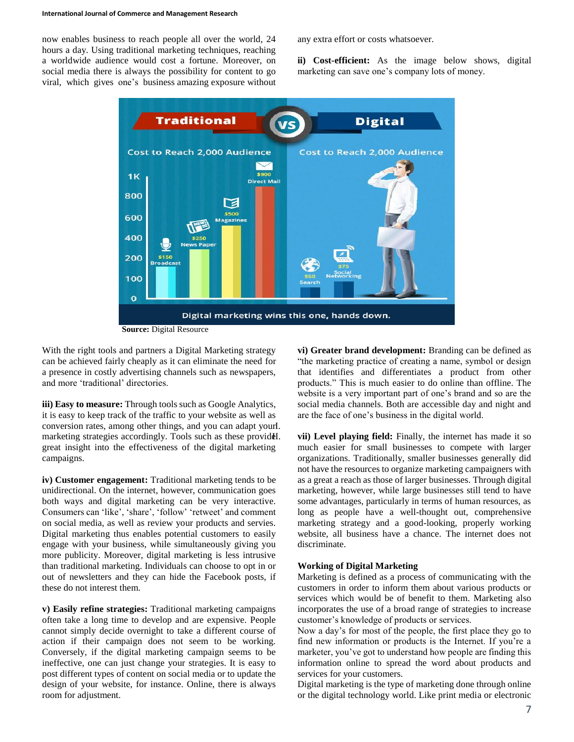#### **International Journal of Commerce and Management Research**

now enables business to reach people all over the world, 24 hours a day. Using traditional marketing techniques, reaching a worldwide audience would cost a fortune. Moreover, on social media there is always the possibility for content to go viral, which gives one's business amazing exposure without any extra effort or costs whatsoever.

**ii) Cost-efficient:** As the image below shows, digital marketing can save one's company lots of money.



With the right tools and partners a Digital Marketing strategy can be achieved fairly cheaply as it can eliminate the need for a presence in costly advertising channels such as newspapers, and more 'traditional' directories.

**iii) Easy to measure:** Through tools such as Google Analytics, it is easy to keep track of the traffic to your website as well as conversion rates, among other things, and you can adapt yourI. marketing strategies accordingly. Tools such as these providel. great insight into the effectiveness of the digital marketing campaigns.

**iv) Customer engagement:** Traditional marketing tends to be unidirectional. On the internet, however, communication goes both ways and digital marketing can be very interactive. Consumers can 'like', 'share', 'follow' 'retweet' and comment on social media, as well as review your products and servies. Digital marketing thus enables potential customers to easily engage with your business, while simultaneously giving you more publicity. Moreover, digital marketing is less intrusive than traditional marketing. Individuals can choose to opt in or out of newsletters and they can hide the Facebook posts, if these do not interest them.

**v) Easily refine strategies:** Traditional marketing campaigns often take a long time to develop and are expensive. People cannot simply decide overnight to take a different course of action if their campaign does not seem to be working. Conversely, if the digital marketing campaign seems to be ineffective, one can just change your strategies. It is easy to post different types of content on social media or to update the design of your website, for instance. Online, there is always room for adjustment.

**vi) Greater brand development:** Branding can be defined as "the marketing practice of creating a name, symbol or design that identifies and differentiates a product from other products." This is much easier to do online than offline. The website is a very important part of one's brand and so are the social media channels. Both are accessible day and night and are the face of one's business in the digital world.

vii) Level playing field: Finally, the internet has made it so much easier for small businesses to compete with larger organizations. Traditionally, smaller businesses generally did not have the resources to organize marketing campaigners with as a great a reach as those of larger businesses. Through digital marketing, however, while large businesses still tend to have some advantages, particularly in terms of human resources, as long as people have a well-thought out, comprehensive marketing strategy and a good-looking, properly working website, all business have a chance. The internet does not discriminate.

#### **Working of Digital Marketing**

Marketing is defined as a process of communicating with the customers in order to inform them about various products or services which would be of benefit to them. Marketing also incorporates the use of a broad range of strategies to increase customer's knowledge of products or services.

Now a day's for most of the people, the first place they go to find new information or products is the Internet. If you're a marketer, you've got to understand how people are finding this information online to spread the word about products and services for your customers.

Digital marketing is the type of marketing done through online or the digital technology world. Like print media or electronic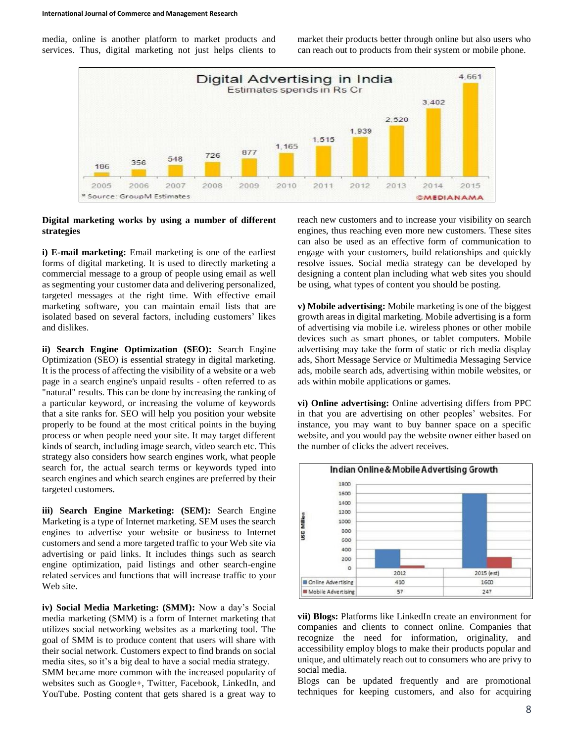media, online is another platform to market products and services. Thus, digital marketing not just helps clients to market their products better through online but also users who can reach out to products from their system or mobile phone.



#### **Digital marketing works by using a number of different strategies**

**i) E-mail marketing:** Email marketing is one of the earliest forms of digital marketing. It is used to directly marketing a commercial message to a group of people using email as well as segmenting your customer data and delivering personalized, targeted messages at the right time. With effective email marketing software, you can maintain email lists that are isolated based on several factors, including customers' likes and dislikes.

**ii) Search Engine Optimization (SEO):** Search Engine Optimization (SEO) is essential strategy in digital marketing. It is the process of affecting the visibility of a website or a web page in a search engine's unpaid results - often referred to as "natural" results. This can be done by increasing the ranking of a particular keyword, or increasing the volume of keywords that a site ranks for. SEO will help you position your website properly to be found at the most critical points in the buying process or when people need your site. It may target different kinds of search, including image search, video search etc. This strategy also considers how search engines work, what people search for, the actual search terms or keywords typed into search engines and which search engines are preferred by their targeted customers.

**iii) Search Engine Marketing: (SEM):** Search Engine Marketing is a type of Internet marketing. SEM uses the search engines to advertise your website or business to Internet customers and send a more targeted traffic to your Web site via advertising or paid links. It includes things such as search engine optimization, paid listings and other search-engine related services and functions that will increase traffic to your Web site.

**iv) Social Media Marketing: (SMM):** Now a day's Social media marketing (SMM) is a form of Internet marketing that utilizes social networking websites as a marketing tool. The goal of SMM is to produce content that users will share with their social network. Customers expect to find brands on social media sites, so it's a big deal to have a social media strategy.

SMM became more common with the increased popularity of websites such as Google+, Twitter, Facebook, LinkedIn, and YouTube. Posting content that gets shared is a great way to

reach new customers and to increase your visibility on search engines, thus reaching even more new customers. These sites can also be used as an effective form of communication to engage with your customers, build relationships and quickly resolve issues. Social media strategy can be developed by designing a content plan including what web sites you should be using, what types of content you should be posting.

**v) Mobile advertising:** Mobile marketing is one of the biggest growth areas in digital marketing. Mobile advertising is a form of advertising via mobile i.e. wireless phones or other mobile devices such as smart phones, or tablet computers. Mobile advertising may take the form of static or rich media display ads, Short Message Service or Multimedia Messaging Service ads, mobile search ads, advertising within mobile websites, or ads within mobile applications or games.

**vi) Online advertising:** Online advertising differs from PPC in that you are advertising on other peoples' websites. For instance, you may want to buy banner space on a specific website, and you would pay the website owner either based on the number of clicks the advert receives.



**vii) Blogs:** Platforms like LinkedIn create an environment for companies and clients to connect online. Companies that recognize the need for information, originality, and accessibility employ blogs to make their products popular and unique, and ultimately reach out to consumers who are privy to social media.

Blogs can be updated frequently and are promotional techniques for keeping customers, and also for acquiring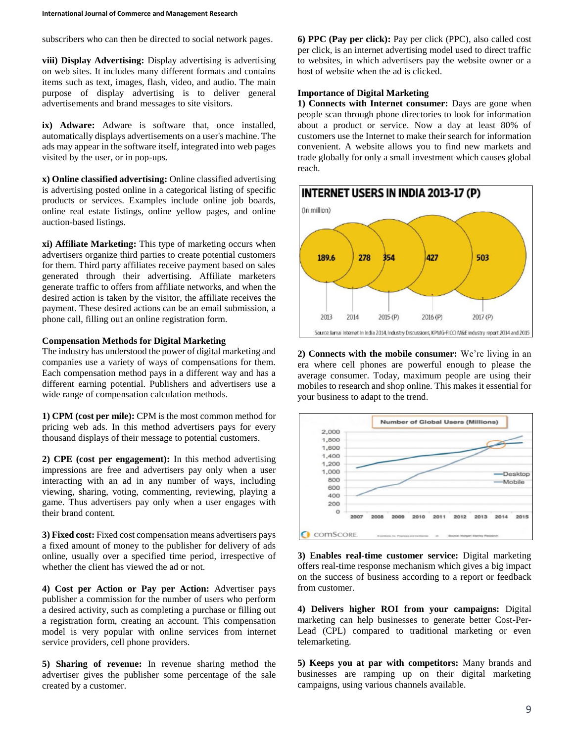subscribers who can then be directed to social network pages.

**viii) Display Advertising:** Display advertising is advertising on web sites. It includes many different formats and contains items such as text, images, flash, video, and audio. The main purpose of display advertising is to deliver general advertisements and brand messages to site visitors.

**ix) Adware:** Adware is software that, once installed, automatically displays advertisements on a user's machine. The ads may appear in the software itself, integrated into web pages visited by the user, or in pop-ups.

**x) Online classified advertising:** Online classified advertising is advertising posted online in a categorical listing of specific products or services. Examples include online job boards, online real estate listings, online yellow pages, and online auction-based listings.

**xi) Affiliate Marketing:** This type of marketing occurs when advertisers organize third parties to create potential customers for them. Third party affiliates receive payment based on sales generated through their advertising. Affiliate marketers generate traffic to offers from affiliate networks, and when the desired action is taken by the visitor, the affiliate receives the payment. These desired actions can be an email submission, a phone call, filling out an online registration form.

#### **Compensation Methods for Digital Marketing**

The industry has understood the power of digital marketing and companies use a variety of ways of compensations for them. Each compensation method pays in a different way and has a different earning potential. Publishers and advertisers use a wide range of compensation calculation methods.

**1) CPM (cost per mile):** CPM is the most common method for pricing web ads. In this method advertisers pays for every thousand displays of their message to potential customers.

**2) CPE (cost per engagement):** In this method advertising impressions are free and advertisers pay only when a user interacting with an ad in any number of ways, including viewing, sharing, voting, commenting, reviewing, playing a game. Thus advertisers pay only when a user engages with their brand content.

**3) Fixed cost:** Fixed cost compensation means advertisers pays a fixed amount of money to the publisher for delivery of ads online, usually over a specified time period, irrespective of whether the client has viewed the ad or not.

**4) Cost per Action or Pay per Action:** Advertiser pays publisher a commission for the number of users who perform a desired activity, such as completing a purchase or filling out a registration form, creating an account. This compensation model is very popular with online services from internet service providers, cell phone providers.

**5) Sharing of revenue:** In revenue sharing method the advertiser gives the publisher some percentage of the sale created by a customer.

**6) PPC (Pay per click):** Pay per click (PPC), also called cost per click, is an internet advertising model used to direct traffic to websites, in which advertisers pay the website owner or a host of website when the ad is clicked.

#### **Importance of Digital Marketing**

**1) Connects with Internet consumer:** Days are gone when people scan through phone directories to look for information about a product or service. Now a day at least 80% of customers use the Internet to make their search for information convenient. A website allows you to find new markets and trade globally for only a small investment which causes global reach.



**2) Connects with the mobile consumer:** We're living in an era where cell phones are powerful enough to please the average consumer. Today, maximum people are using their mobiles to research and shop online. This makes it essential for your business to adapt to the trend.



**3) Enables real-time customer service:** Digital marketing offers real-time response mechanism which gives a big impact on the success of business according to a report or feedback from customer.

**4) Delivers higher ROI from your campaigns:** Digital marketing can help businesses to generate better Cost-Per-Lead (CPL) compared to traditional marketing or even telemarketing.

**5) Keeps you at par with competitors:** Many brands and businesses are ramping up on their digital marketing campaigns, using various channels available.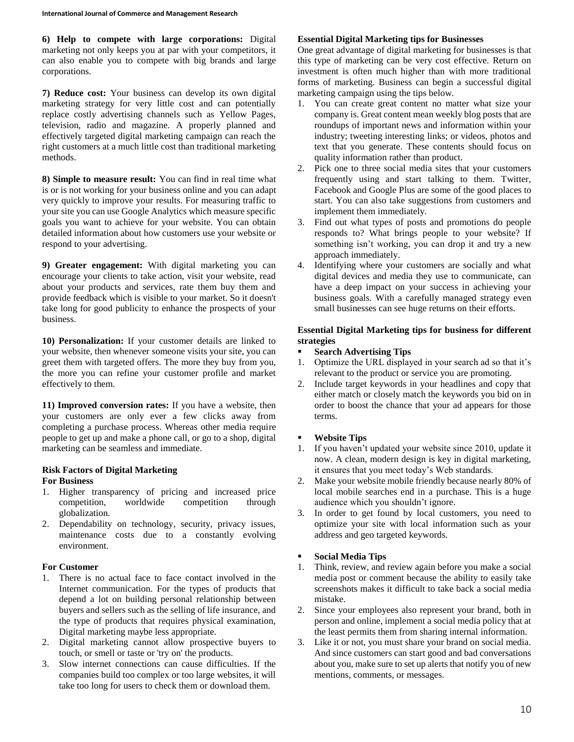**6) Help to compete with large corporations:** Digital marketing not only keeps you at par with your competitors, it can also enable you to compete with big brands and large corporations.

**7) Reduce cost:** Your business can develop its own digital marketing strategy for very little cost and can potentially replace costly advertising channels such as Yellow Pages, television, radio and magazine. A properly planned and effectively targeted digital marketing campaign can reach the right customers at a much little cost than traditional marketing methods.

**8) Simple to measure result:** You can find in real time what is or is not working for your business online and you can adapt very quickly to improve your results. For measuring traffic to your site you can use Google Analytics which measure specific goals you want to achieve for your website. You can obtain detailed information about how customers use your website or respond to your advertising.

**9) Greater engagement:** With digital marketing you can encourage your clients to take action, visit your website, read about your products and services, rate them buy them and provide feedback which is visible to your market. So it doesn't take long for good publicity to enhance the prospects of your business.

**10) Personalization:** If your customer details are linked to your website, then whenever someone visits your site, you can greet them with targeted offers. The more they buy from you, the more you can refine your customer profile and market effectively to them.

**11) Improved conversion rates:** If you have a website, then your customers are only ever a few clicks away from completing a purchase process. Whereas other media require people to get up and make a phone call, or go to a shop, digital marketing can be seamless and immediate.

# **Risk Factors of Digital Marketing**

### **For Business**

- 1. Higher transparency of pricing and increased price competition, worldwide competition through globalization.
- 2. Dependability on technology, security, privacy issues, maintenance costs due to a constantly evolving environment.

### **For Customer**

- 1. There is no actual face to face contact involved in the Internet communication. For the types of products that depend a lot on building personal relationship between buyers and sellers such as the selling of life insurance, and the type of products that requires physical examination, Digital marketing maybe less appropriate.
- 2. Digital marketing cannot allow prospective buyers to touch, or smell or taste or 'try on' the products.
- 3. Slow internet connections can cause difficulties. If the companies build too complex or too large websites, it will take too long for users to check them or download them.

# **Essential Digital Marketing tips for Businesses**

One great advantage of digital marketing for businesses is that this type of marketing can be very cost effective. Return on investment is often much higher than with more traditional forms of marketing. Business can begin a successful digital marketing campaign using the tips below.

- 1. You can create great content no matter what size your company is. Great content mean weekly blog posts that are roundups of important news and information within your industry; tweeting interesting links; or videos, photos and text that you generate. These contents should focus on quality information rather than product.
- 2. Pick one to three social media sites that your customers frequently using and start talking to them. Twitter, Facebook and Google Plus are some of the good places to start. You can also take suggestions from customers and implement them immediately.
- 3. Find out what types of posts and promotions do people responds to? What brings people to your website? If something isn't working, you can drop it and try a new approach immediately.
- 4. Identifying where your customers are socially and what digital devices and media they use to communicate, can have a deep impact on your success in achieving your business goals. With a carefully managed strategy even small businesses can see huge returns on their efforts.

## **Essential Digital Marketing tips for business for different strategies**

- **Search Advertising Tips**
- 1. Optimize the URL displayed in your search ad so that it's relevant to the product or service you are promoting.
- 2. Include target keywords in your headlines and copy that either match or closely match the keywords you bid on in order to boost the chance that your ad appears for those terms.

# **Website Tips**

- 1. If you haven't updated your website since 2010, update it now. A clean, modern design is key in digital marketing, it ensures that you meet today's Web standards.
- 2. Make your website mobile friendly because nearly 80% of local mobile searches end in a purchase. This is a huge audience which you shouldn't ignore.
- 3. In order to get found by local customers, you need to optimize your site with local information such as your address and geo targeted keywords.

# **Social Media Tips**

- 1. Think, review, and review again before you make a social media post or comment because the ability to easily take screenshots makes it difficult to take back a social media mistake.
- 2. Since your employees also represent your brand, both in person and online, implement a social media policy that at the least permits them from sharing internal information.
- 3. Like it or not, you must share your brand on social media. And since customers can start good and bad conversations about you, make sure to set up alerts that notify you of new mentions, comments, or messages.